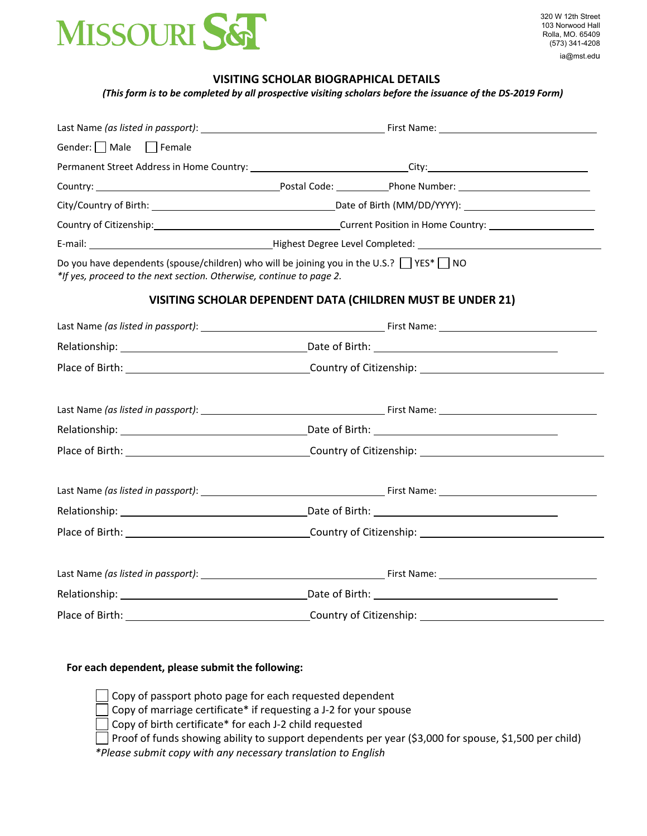

### **VISITING SCHOLAR BIOGRAPHICAL DETAILS**

(This form is to be completed by all prospective visiting scholars before the issuance of the DS-2019 Form)

| Gender: $\Box$ Male $\Box$ Female                                                                                                                                           |                                                                                   |                                                                                                                |  |
|-----------------------------------------------------------------------------------------------------------------------------------------------------------------------------|-----------------------------------------------------------------------------------|----------------------------------------------------------------------------------------------------------------|--|
|                                                                                                                                                                             |                                                                                   | Permanent Street Address in Home Country: ________________________________City:_______________________________ |  |
|                                                                                                                                                                             |                                                                                   |                                                                                                                |  |
|                                                                                                                                                                             |                                                                                   |                                                                                                                |  |
|                                                                                                                                                                             | Country of Citizenship: Country of Citizenship: Current Position in Home Country: |                                                                                                                |  |
|                                                                                                                                                                             |                                                                                   |                                                                                                                |  |
| Do you have dependents (spouse/children) who will be joining you in the U.S.? $\Box$ YES* $\Box$ NO<br>*If yes, proceed to the next section. Otherwise, continue to page 2. |                                                                                   |                                                                                                                |  |
|                                                                                                                                                                             |                                                                                   | VISITING SCHOLAR DEPENDENT DATA (CHILDREN MUST BE UNDER 21)                                                    |  |
|                                                                                                                                                                             |                                                                                   |                                                                                                                |  |
|                                                                                                                                                                             |                                                                                   |                                                                                                                |  |
|                                                                                                                                                                             |                                                                                   |                                                                                                                |  |
|                                                                                                                                                                             |                                                                                   |                                                                                                                |  |
|                                                                                                                                                                             |                                                                                   |                                                                                                                |  |
|                                                                                                                                                                             |                                                                                   |                                                                                                                |  |
|                                                                                                                                                                             |                                                                                   |                                                                                                                |  |
|                                                                                                                                                                             |                                                                                   |                                                                                                                |  |
|                                                                                                                                                                             |                                                                                   |                                                                                                                |  |
|                                                                                                                                                                             |                                                                                   |                                                                                                                |  |
|                                                                                                                                                                             |                                                                                   |                                                                                                                |  |
|                                                                                                                                                                             |                                                                                   |                                                                                                                |  |
|                                                                                                                                                                             |                                                                                   |                                                                                                                |  |

## **For each dependent, please submit the following:**

Copy of passport photo page for each requested dependent

Copy of marriage certificate\* if requesting a J‐2 for your spouse

Copy of birth certificate\* for each J‐2 child requested

Proof of funds showing ability to support dependents per year (\$3,000 for spouse, \$1,500 per child)

*\*Please submit copy with any necessary translation to English*